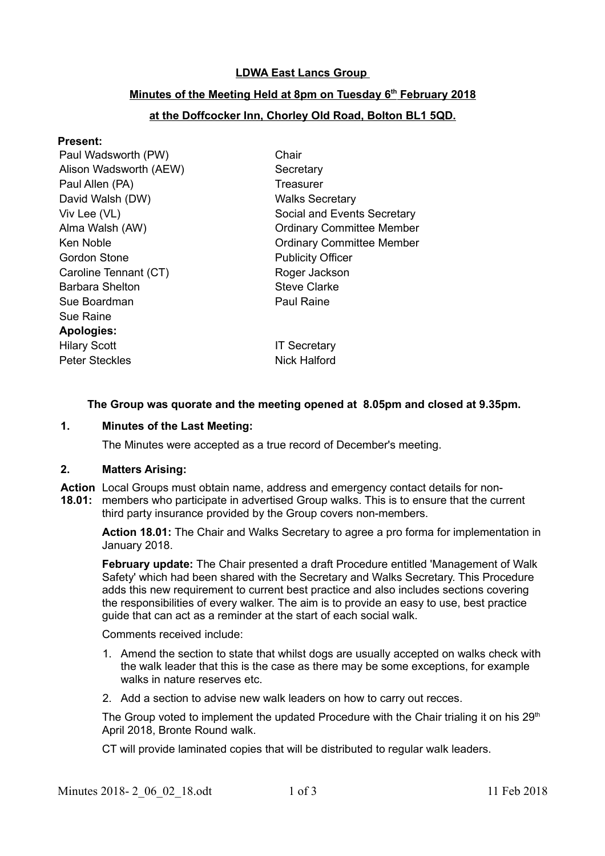### **LDWA East Lancs Group**

# **Minutes of the Meeting Held at 8pm on Tuesday 6th February 2018**

# **at the Doffcocker Inn, Chorley Old Road, Bolton BL1 5QD.**

#### **Present:**

| Chair                            |
|----------------------------------|
| Secretary                        |
| Treasurer                        |
| <b>Walks Secretary</b>           |
| Social and Events Secretary      |
| <b>Ordinary Committee Member</b> |
| <b>Ordinary Committee Member</b> |
| <b>Publicity Officer</b>         |
| Roger Jackson                    |
| <b>Steve Clarke</b>              |
| <b>Paul Raine</b>                |
|                                  |
|                                  |
| <b>IT Secretary</b>              |
| Nick Halford                     |
|                                  |

# **The Group was quorate and the meeting opened at 8.05pm and closed at 9.35pm.**

#### **1. Minutes of the Last Meeting:**

The Minutes were accepted as a true record of December's meeting.

#### **2. Matters Arising:**

**Action** Local Groups must obtain name, address and emergency contact details for non-**18.01:** members who participate in advertised Group walks. This is to ensure that the current third party insurance provided by the Group covers non-members.

**Action 18.01:** The Chair and Walks Secretary to agree a pro forma for implementation in January 2018.

**February update:** The Chair presented a draft Procedure entitled 'Management of Walk Safety' which had been shared with the Secretary and Walks Secretary. This Procedure adds this new requirement to current best practice and also includes sections covering the responsibilities of every walker. The aim is to provide an easy to use, best practice guide that can act as a reminder at the start of each social walk.

Comments received include:

- 1. Amend the section to state that whilst dogs are usually accepted on walks check with the walk leader that this is the case as there may be some exceptions, for example walks in nature reserves etc.
- 2. Add a section to advise new walk leaders on how to carry out recces.

The Group voted to implement the updated Procedure with the Chair trialing it on his  $29<sup>th</sup>$ April 2018, Bronte Round walk.

CT will provide laminated copies that will be distributed to regular walk leaders.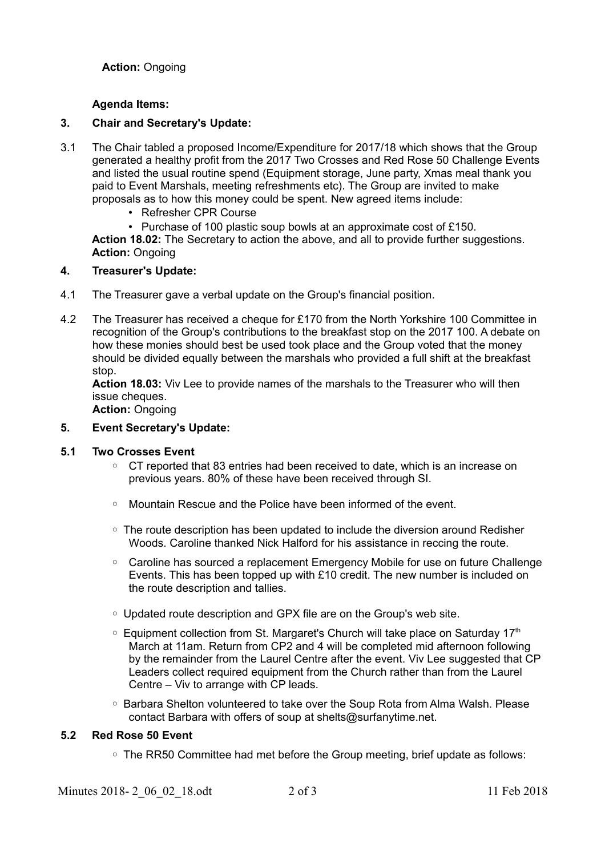**Action:** Ongoing

### **Agenda Items:**

### **3. Chair and Secretary's Update:**

- 3.1 The Chair tabled a proposed Income/Expenditure for 2017/18 which shows that the Group generated a healthy profit from the 2017 Two Crosses and Red Rose 50 Challenge Events and listed the usual routine spend (Equipment storage, June party, Xmas meal thank you paid to Event Marshals, meeting refreshments etc). The Group are invited to make proposals as to how this money could be spent. New agreed items include:
	- Refresher CPR Course

• Purchase of 100 plastic soup bowls at an approximate cost of £150. **Action 18.02:** The Secretary to action the above, and all to provide further suggestions. **Action:** Ongoing

#### **4. Treasurer's Update:**

- 4.1 The Treasurer gave a verbal update on the Group's financial position.
- 4.2 The Treasurer has received a cheque for £170 from the North Yorkshire 100 Committee in recognition of the Group's contributions to the breakfast stop on the 2017 100. A debate on how these monies should best be used took place and the Group voted that the money should be divided equally between the marshals who provided a full shift at the breakfast stop.

**Action 18.03:** Viv Lee to provide names of the marshals to the Treasurer who will then issue cheques.

**Action:** Ongoing

#### **5. Event Secretary's Update:**

#### **5.1 Two Crosses Event**

- CT reported that 83 entries had been received to date, which is an increase on previous years. 80% of these have been received through SI.
- Mountain Rescue and the Police have been informed of the event.
- The route description has been updated to include the diversion around Redisher Woods. Caroline thanked Nick Halford for his assistance in reccing the route.
- Caroline has sourced a replacement Emergency Mobile for use on future Challenge Events. This has been topped up with £10 credit. The new number is included on the route description and tallies.
- Updated route description and GPX file are on the Group's web site.
- $\circ$  Equipment collection from St. Margaret's Church will take place on Saturday 17<sup>th</sup> March at 11am. Return from CP2 and 4 will be completed mid afternoon following by the remainder from the Laurel Centre after the event. Viv Lee suggested that CP Leaders collect required equipment from the Church rather than from the Laurel Centre – Viv to arrange with CP leads.
- Barbara Shelton volunteered to take over the Soup Rota from Alma Walsh. Please contact Barbara with offers of soup at shelts@surfanytime.net.

### **5.2 Red Rose 50 Event**

◦ The RR50 Committee had met before the Group meeting, brief update as follows: